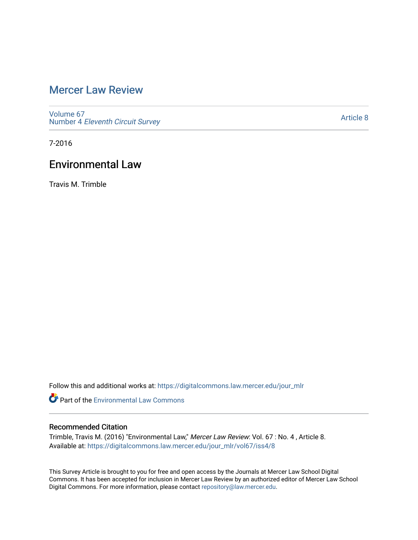# [Mercer Law Review](https://digitalcommons.law.mercer.edu/jour_mlr)

[Volume 67](https://digitalcommons.law.mercer.edu/jour_mlr/vol67) Number 4 [Eleventh Circuit Survey](https://digitalcommons.law.mercer.edu/jour_mlr/vol67/iss4) 

[Article 8](https://digitalcommons.law.mercer.edu/jour_mlr/vol67/iss4/8) 

7-2016

## Environmental Law

Travis M. Trimble

Follow this and additional works at: [https://digitalcommons.law.mercer.edu/jour\\_mlr](https://digitalcommons.law.mercer.edu/jour_mlr?utm_source=digitalcommons.law.mercer.edu%2Fjour_mlr%2Fvol67%2Fiss4%2F8&utm_medium=PDF&utm_campaign=PDFCoverPages)

**C** Part of the [Environmental Law Commons](http://network.bepress.com/hgg/discipline/599?utm_source=digitalcommons.law.mercer.edu%2Fjour_mlr%2Fvol67%2Fiss4%2F8&utm_medium=PDF&utm_campaign=PDFCoverPages)

### Recommended Citation

Trimble, Travis M. (2016) "Environmental Law," Mercer Law Review: Vol. 67 : No. 4 , Article 8. Available at: [https://digitalcommons.law.mercer.edu/jour\\_mlr/vol67/iss4/8](https://digitalcommons.law.mercer.edu/jour_mlr/vol67/iss4/8?utm_source=digitalcommons.law.mercer.edu%2Fjour_mlr%2Fvol67%2Fiss4%2F8&utm_medium=PDF&utm_campaign=PDFCoverPages)

This Survey Article is brought to you for free and open access by the Journals at Mercer Law School Digital Commons. It has been accepted for inclusion in Mercer Law Review by an authorized editor of Mercer Law School Digital Commons. For more information, please contact [repository@law.mercer.edu](mailto:repository@law.mercer.edu).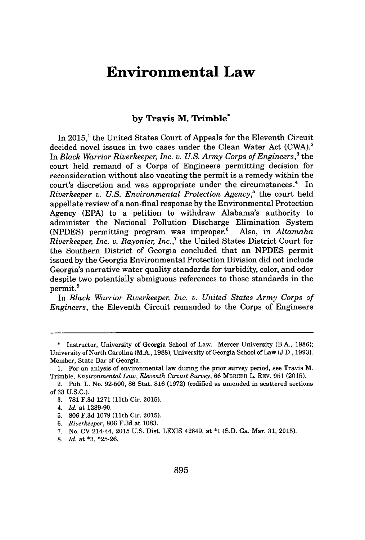### **Environmental Law**

#### **by Travis M. Trimble\***

In **2015,'** the United States Court of Appeals for the Eleventh Circuit decided novel issues in two cases under the Clean Water Act (CWA).<sup>2</sup> In *Black Warrior Riverkeeper, Inc. v. U.S. Army Corps of Engineers,'* the court held remand of a Corps of Engineers permitting decision for reconsideration without also vacating the permit is a remedy within the court's discretion and was appropriate under the circumstances.<sup>4</sup> In *Riverkeeper v. U.S. Environmental Protection Agency,'* the court held appellate review of a non-final response **by** the Environmental Protection Agency **(EPA)** to a petition to withdraw Alabama's authority to administer the National Pollution Discharge Elimination System **(NPDES)** permitting program was improper.' Also, in *Altamaha Riverkeeper, Inc. v. Rayonier, Inc.,'* the United States District Court for the Southern District of Georgia concluded that an **NPDES** permit issued **by** the Georgia Environmental Protection Division did not include Georgia's narrative water quality standards for turbidity, color, and odor despite two potentially abmiguous references to those standards in the permit.<sup>8</sup>

In *Black Warrior Riverkeeper, Inc. v. United States Army Corps of Engineers,* the Eleventh Circuit remanded to the Corps of Engineers

- **3. 781 F.3d 1271** (11th Cir. **2015).**
- 4. *Id.* at **1289-90.**
- **5. 806 F.3d 1079** (11th Cir. **2015).**
- **6.** *Riverkeeper,* **806 F.3d** at **1083.**
- **7.** No. **CV** 214-44, **2015 U.S.** Dist. LEXIS 42849, at **\*1 (S.D.** Ga. Mar. **31, 2015).**
- **8.** *Id.* at **\*3, \*25-26.**

**<sup>\*</sup>** Instructor, University of Georgia School of Law. Mercer University (B.A., **1986);** University of North Carolina (M.A., **1988);** University of Georgia School of Law **(J.D., 1993).** Member, State Bar of Georgia.

**<sup>1.</sup>** For an anlysis of environmental law during the prior survey period, see Travis M. Trimble, *Environmental Law, Eleventh Circuit Survey,* **66** MERCER L. REV. **951 (2015).**

<sup>2.</sup> Pub. L. No. **92-500, 86** Stat. **816 (1972)** (codified as amended in scattered sections of **33 U.S.C.).**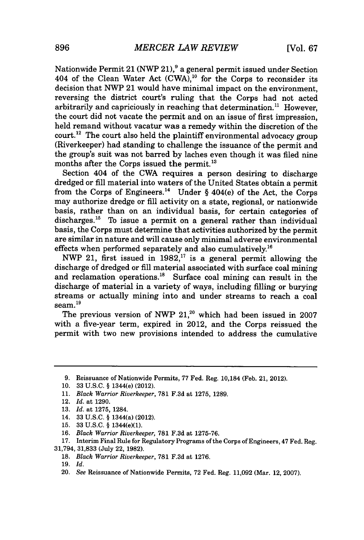Nationwide Permit 21 (NWP 21),<sup>9</sup> a general permit issued under Section 404 of the Clean Water Act  $(CWA)$ ,<sup>10</sup> for the Corps to reconsider its decision that NWP 21 would have minimal impact on the environment, reversing the district court's ruling that the Corps had not acted arbitrarily and capriciously in reaching that determination." However, the court did not vacate the permit and on an issue of first impression, held remand without vacatur was a remedy within the discretion of the  $\text{count.}^{12}$  The court also held the plaintiff environmental advocacy group (Riverkeeper) had standing to challenge the issuance of the permit and the group's suit was not barred **by** laches even though it was filed nine months after the Corps issued the permit.<sup>13</sup>

Section 404 of the CWA requires a person desiring to discharge dredged or **fill** material into waters of the United States obtain a permit from the Corps of Engineers.<sup>14</sup> Under § 404(e) of the Act, the Corps may authorize dredge or **fill** activity on a state, regional, or nationwide basis, rather than on an individual basis, for certain categories of discharges.<sup>15</sup> To issue a permit on a general rather than individual basis, the Corps must determine that activities authorized **by** the permit are similar in nature and will cause only minimal adverse environmental effects when performed separately and also cumulatively.<sup>16</sup>

NWP 21, first issued in **1982,"** is a general permit allowing the discharge of dredged or **fill** material associated with surface coal mining and reclamation operations.<sup>18</sup> Surface coal mining can result in the discharge of material in a variety of ways, including filling or burying streams or actually mining into and under streams to reach a coal  $seam.<sup>19</sup>$ 

The previous version of NWP 21,<sup>20</sup> which had been issued in 2007 with a five-year term, expired in 2012, and the Corps reissued the permit with two new provisions intended to address the cumulative

**<sup>9.</sup>** Reissuance of Nationwide Permits, **77** Fed. Reg. 10,184 (Feb. 21, 2012).

**<sup>10. 33</sup> U.S.C. §** 1344(e) (2012).

**<sup>11.</sup>** *Black Warrior Riverkeeper,* **781 F.3d** at **1275, 1289.**

<sup>12.</sup> *Id.* at **1290.**

**<sup>13.</sup>** *Id. at* **1275,** 1284.

<sup>14.</sup> **33 U.S.C. §** 1344(a) (2012).

**<sup>15. 33</sup> U.S.C. §** 1344(e)(1).

**<sup>16.</sup>** *Black Warrior Riverkeeper,* **781 F.3d** at **1275-76.**

**<sup>17.</sup>** Interim Final Rule for Regulatory Programs of the Corps of Engineers, 47 Fed. Reg. **31,794, 31,833** (July 22, **1982).**

**<sup>18.</sup>** *Black Warrior Riverkeeper,* **781 F.3d** at **1276.**

**<sup>19.</sup>** *Id.*

<sup>20.</sup> *See* Reissuance of Nationwide Permits, **72** Fed. Reg. **11,092** (Mar. 12, **2007).**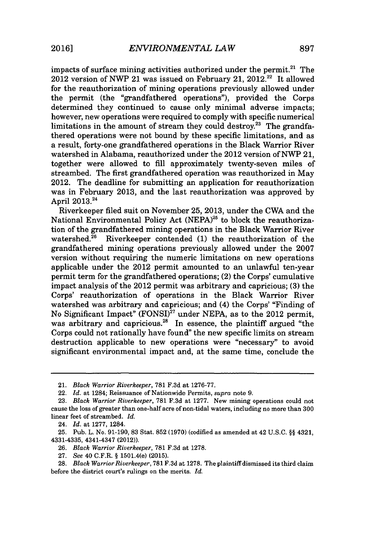impacts of surface mining activities authorized under the permit. $^{21}$  The 2012 version of NWP 21 was issued on February 21,  $2012^{22}$  It allowed for the reauthorization of mining operations previously allowed under the permit (the "grandfathered operations"), provided the Corps determined they continued to cause only minimal adverse impacts; however, new operations were required to comply with specific numerical limitations in the amount of stream they could destroy.<sup>23</sup> The grandfathered operations were not bound **by** these specific limitations, and as a result, forty-one grandfathered operations in the Black Warrior River watershed in Alabama, reauthorized under the 2012 version of NWP 21, together were allowed to **fill** approximately twenty-seven miles of streambed. The first grandfathered operation was reauthorized in May 2012. The deadline for submitting an application for reauthorization was in February **2013,** and the last reauthorization was approved **by** April **2013.24**

Riverkeeper filed suit on November **25, 2013,** under the CWA and the National Environmental Policy Act **(NEPA)<sup>25</sup>**to block the reauthorization of the grandfathered mining operations in the Black Warrior River watershed.<sup>26</sup> Riverkeeper contended (1) the reauthorization of the grandfathered mining operations previously allowed under the **2007** version without requiring the numeric limitations on new operations applicable under the 2012 permit amounted to an unlawful ten-year permit term for the grandfathered operations; (2) the Corps' cumulative impact analysis of the 2012 permit was arbitrary and capricious; **(3)** the Corps' reauthorization of operations in the Black Warrior River watershed was arbitrary and capricious; and (4) the Corps' "Finding of No Significant Impact" (FONSI)" under **NEPA,** as to the 2012 permit, was arbitrary and capricious.<sup>28</sup> In essence, the plaintiff argued "the Corps could not rationally have found" the new specific limits on stream destruction applicable to new operations were "necessary" to avoid significant environmental impact and, at the same time, conclude the

24. *Id.* at **1277,** 1284.

<sup>21.</sup> Black *Warrior Riverkeeper,* **781 F.3d** at **1276-77.**

<sup>22.</sup> *Id.* at 1284; Reissuance of Nationwide Permits, *supra* note **9.**

**<sup>23.</sup>** *Black Warrior Riverkeeper,* **781 F.3d** at **1277.** New mining operations could not cause the loss of greater than one-half acre of non-tidal waters, including no more than **300** linear feet of streambed. *Id.*

**<sup>25.</sup>** Pub. L. No. **91-190, 83** Stat. **852 (1970)** (codified as amended at 42 **U.S.C. §§** 4321, 4331-4335, 4341-4347 (2012)).

**<sup>26.</sup>** *Black Warrior Riverkeeper,* **781 F.3d** at **1278.**

**<sup>27.</sup>** *See* 40 C.F.R. **§** 1501.4(e) **(2015).**

**<sup>28.</sup>** *Black Warrior Riverkeeper,* **781 F.3d** at **1278.** The plaintiff dismissed its third claim before the district court's rulings on the merits. *Id.*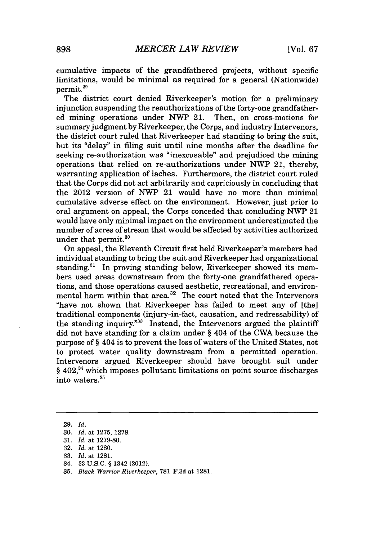cumulative impacts of the grandfathered projects, without specific limitations, would be minimal as required for a general (Nationwide) permit.<sup>29</sup>

The district court denied Riverkeeper's motion for a preliminary injunction suspending the reauthorizations of the forty-one grandfathered mining operations under **NWP** 21. Then, on cross-motions for summary judgment **by** Riverkeeper, the Corps, and industry Intervenors, the district court ruled that Riverkeeper had standing to bring the suit, but its "delay" in filing suit until nine months after the deadline for seeking re-authorization was "inexcusable" and prejudiced the mining operations that relied on re-authorizations under NWP 21, thereby, warranting application of laches. Furthermore, the district court ruled that the Corps did not act arbitrarily and capriciously in concluding that the 2012 version of NWP 21 would have no more than minimal cumulative adverse effect on the environment. However, just prior to oral argument on appeal, the Corps conceded that concluding NWP 21 would have only minimal impact on the environment underestimated the number of acres of stream that would be affected **by** activities authorized under that permit. $30$ 

On appeal, the Eleventh Circuit first held Riverkeeper's members had individual standing to bring the suit and Riverkeeper had organizational standing.<sup>31</sup> In proving standing below, Riverkeeper showed its members used areas downstream from the forty-one grandfathered operations, and those operations caused aesthetic, recreational, and environmental harm within that area.<sup>32</sup> The court noted that the Intervenors "have not shown that Riverkeeper has failed to meet any of [the] traditional components (injury-in-fact, causation, and redressability) of the standing inquiry. $^{33}$  Instead, the Intervenors argued the plaintiff did not have standing for a claim under *§* 404 of the CWA because the purpose of *§* 404 is to prevent the loss of waters of the United States, not to protect water quality downstream from a permitted operation. Intervenors argued Riverkeeper should have brought suit under *§* 402,34 which imposes pollutant limitations on point source discharges into waters.<sup>35</sup>

- 34. **33 U.S.C. §** 1342 (2012).
- **35.** *Black Warrior Riverkeeper,* **781 F.3d** *at* **1281.**

**<sup>29.</sup>** *Id.*

**<sup>30.</sup>** *Id. at* **1275, 1278.**

**<sup>31.</sup>** *Id. at* **1279-80.**

**<sup>32.</sup>** *Id. at* **1280.**

**<sup>33.</sup>** *Id. at* **1281.**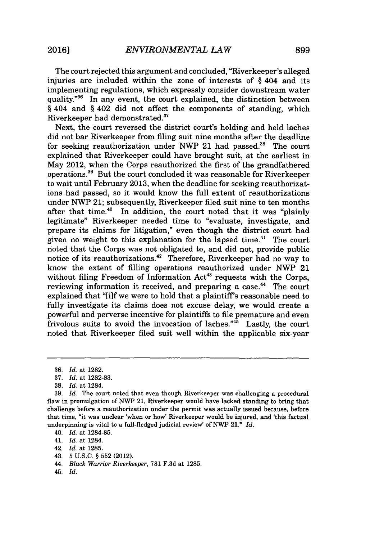The court rejected this argument and concluded, "Riverkeeper's alleged injuries are included within the zone of interests of *§* 404 and its implementing regulations, which expressly consider downstream water quality." $36$  In any event, the court explained, the distinction between **§** 404 and *§* 402 did not affect the components of standing, which Riverkeeper had demonstrated."

Next, the court reversed the district court's holding and held laches did not bar Riverkeeper from filing suit nine months after the deadline for seeking reauthorization under NWP 21 had passed.<sup>38</sup> The court explained that Riverkeeper could have brought suit, at the earliest in May 2012, when the Corps reauthorized the first of the grandfathered operations.3 9 But the court concluded it was reasonable for Riverkeeper to wait until February **2013,** when the deadline for seeking reauthorizations had passed, so it would know the full extent of reauthorizations under NWP 21; subsequently, Riverkeeper filed suit nine to ten months after that time.<sup>40</sup> In addition, the court noted that it was "plainly legitimate" Riverkeeper needed time to "evaluate, investigate, and prepare its claims for litigation," even though the district court had given no weight to this explanation for the lapsed time.<sup>41</sup> The court noted that the Corps was not obligated to, and did not, provide public notice of its reauthorizations.<sup>42</sup> Therefore, Riverkeeper had no way to know the extent of filling operations reauthorized under **NWP** 21 without filing Freedom of Information  $Act^{43}$  requests with the Corps, reviewing information it received, and preparing a case.<sup>44</sup> The court explained that "[i]f we were to hold that a plaintiff's reasonable need to fully investigate its claims does not excuse delay, we would create a powerful and perverse incentive for plaintiffs to file premature and even frivolous suits to avoid the invocation of laches."<sup>45</sup> Lastly, the court noted that Riverkeeper filed suit well within the applicable six-year

- 42. *Id.* at **1285.**
- 43. **5 U.S.C. § 552** (2012).
- 44. *Black Warrior Riverkeeper,* **781 F.3d** at **1285.**
- 45. *Id.*

**<sup>36.</sup>** *Id. at* **1282.**

**<sup>37.</sup>** *Id.* at **1282-83.**

**<sup>38.</sup>** *Id.* at 1284.

**<sup>39.</sup>** *Id.* The court noted that even though Riverkeeper was challenging a procedural flaw in promulgation of NWP 21, Riverkeeper would have lacked standing to bring that challenge before a reauthorization under the permit was actually issued because, before that time, "it was unclear 'when or how' Riverkeeper would be injured, and 'this factual underpinning is vital to a full-fledged judicial review' of NWP 21." *Id.*

<sup>40.</sup> *Id.* at **1284-85.**

<sup>41.</sup> *Id.* at 1284.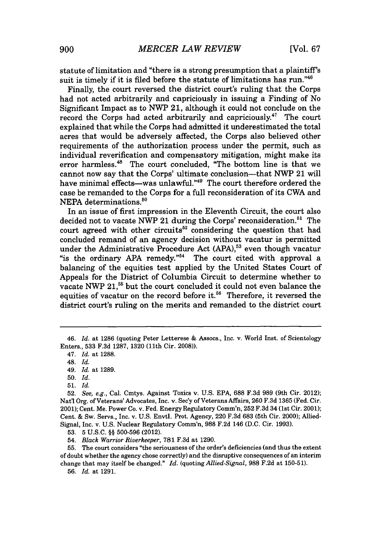statute of limitation and "there is a strong presumption that a plaintiff's suit is timely if it is filed before the statute of limitations has run." $46$ 

Finally, the court reversed the district court's ruling that the Corps had not acted arbitrarily and capriciously in issuing a Finding of No Significant Impact as to **NWP** 21, although it could not conclude on the record the Corps had acted arbitrarily and capriciously.<sup>47</sup> The court explained that while the Corps had admitted it underestimated the total acres that would be adversely affected, the Corps also believed other requirements of the authorization process under the permit, such as individual reverification and compensatory mitigation, might make its error harmless.<sup>48</sup> The court concluded, "The bottom line is that we cannot now say that the Corps' ultimate conclusion-that NWP 21 will have minimal effects-was unlawful."<sup>49</sup> The court therefore ordered the case be remanded to the Corps for a full reconsideration of its CWA and NEPA determinations.<sup>50</sup>

In an issue of first impression in the Eleventh Circuit, the court also decided not to vacate NWP 21 during the Corps' reconsideration.<sup>51</sup> The court agreed with other circuits<sup>52</sup> considering the question that had concluded remand of an agency decision without vacatur is permitted under the Administrative Procedure Act (APA),<sup>53</sup> even though vacatur "is the ordinary APA remedy."<sup>54</sup> The court cited with approval a balancing of the equities test applied **by** the United States Court of Appeals for the District of Columbia Circuit to determine whether to vacate NWP 21,<sup>55</sup> but the court concluded it could not even balance the equities of vacatur on the record before it.<sup>56</sup> Therefore, it reversed the district court's ruling on the merits and remanded to the district court

**53. 5 U.S.C. §§ 500-596** (2012).

54. *Black Warrior Riverkeeper,* **781 F.3d** at **1290.**

**55.** The court considers "the seriousness of the order's deficiencies (and thus the extent of doubt whether the agency chose correctly) and the disruptive consequences of an interim change that may itself be changed." *Id.* (quoting *Allied-Signal,* **988 F.2d** at **150-51).**

**56.** *Id.* at **1291.**

*<sup>46.</sup> Id.* at **1286** (quoting Peter Letterese **&** Assocs., Inc. v. World Inst. of Scientology Enters., **533 F.3d 1287, 1320** (11th Cir. **2008)).**

<sup>47.</sup> *Id.* at **1288.**

<sup>48.</sup> *Id.*

<sup>49.</sup> *Id.* at **1289.**

**<sup>50.</sup>** *Id.*

**<sup>51.</sup>** *Id.*

**<sup>52.</sup>** *See, e.g.,* Cal. Cmtys. Against Toxics v. **U.S. EPA, 688 F.3d 989** (9th Cir. 2012); Nat'l Org. of Veterans' Advocates, Inc. v. Sec'y of Veterans Affairs, **260 F.3d 1365** (Fed. Cir. 2001); Cent. Me. Power Co. v. Fed. Energy Regulatory Comm'n, **252 F.3d** 34 (1st Cir. 2001); Cent. **&** Sw. Servs., Inc. v. **U.S.** Envtl. Prot. Agency, 220 **F.3d 683** (5th Cir. 2000); Allied-Signal, Inc. v. **U.S.** Nuclear Regulatory Comm'n, **988 F.2d** 146 **(D.C.** Cir. **1993).**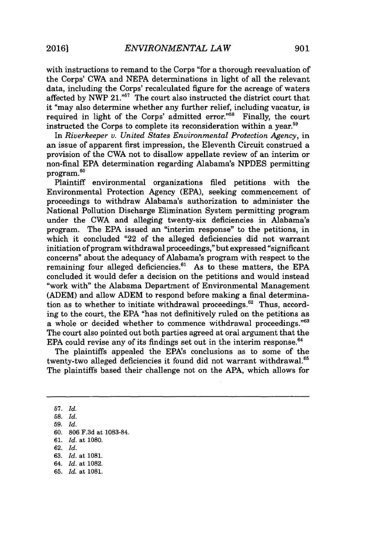with instructions to remand to the Corps "for a thorough reevaluation of the Corps' CWA and **NEPA** determinations in light of all the relevant data, including the Corps' recalculated figure for the acreage of waters affected **by** NWP 21.""' The court also instructed the district court that it "may also determine whether any further relief, including vacatur, is required in light of the Corps' admitted error."<sup>58</sup> Finally, the court instructed the Corps to complete its reconsideration within a year. $59$ 

*In Riverkeeper v. United States Environmental Protection Agency,* in an issue of apparent first impression, the Eleventh Circuit construed a provision of the CWA not to disallow appellate review of an interim or non-final **EPA** determination regarding Alabama's **NPDES** permitting program.<sup>60</sup>

Plaintiff environmental organizations filed petitions with the Environmental Protection Agency **(EPA),** seeking commencement of proceedings to withdraw Alabama's authorization to administer the National Pollution Discharge Elimination System permitting program under the CWA and alleging twenty-six deficiencies in Alabama's program. The **EPA** issued an "interim response" to the petitions, in which it concluded "22 of the alleged deficiencies did not warrant initiation of program withdrawal proceedings," but expressed "significant concerns" about the adequacy of Alabama's program with respect to the remaining four alleged deficiencies.<sup>61</sup> As to these matters, the EPA concluded it would defer a decision on the petitions and would instead "work with" the Alabama Department of Environmental Management **(ADEM)** and allow **ADEM** to respond before making a final determination as to whether to initiate withdrawal proceedings. $62$  Thus, according to the court, the **EPA** "has not definitively ruled on the petitions as a whole or decided whether to commence withdrawal proceedings."<sup>63</sup> The court also pointed out both parties agreed at oral argument that the EPA could revise any of its findings set out in the interim response.<sup>64</sup>

The plaintiffs appealed the EPA's conclusions as to some of the twenty-two alleged deficiencies it found did not warrant withdrawal.<sup>65</sup> The plaintiffs based their challenge not on the **APA,** which allows for

**57.** *Id.*

**58.** *Id.*

**59.** *Id.*

**60. 806 F.3d** at **1083-84.**

**61.** *Id.* at **1080.**

**62.** *Id.*

**63.** *Id.* at **1081.**

*64. Id.* at **1082.**

**65.** *Id.* at **1081.**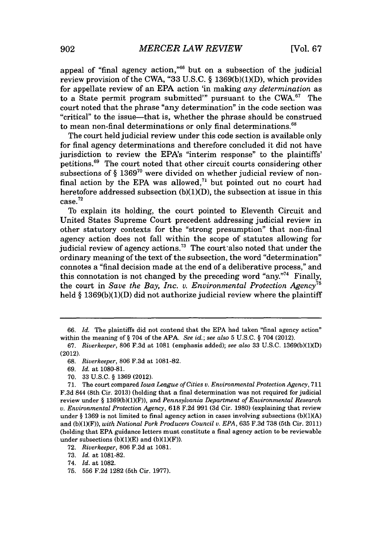appeal of "final agency action," $66$  but on a subsection of the judicial review provision of the CWA, **"33 U.S.C.** *§* **1369(b)(1)(D),** which provides for appellate review of an **EPA** action 'in making *any determination* as to a State permit program submitted" pursuant to the CWA. $67$  The court noted that the phrase "any determination" in the code section was "critical" to the issue-that is, whether the phrase should be construed to mean non-final determinations or only final determinations.<sup>68</sup>

The court held judicial review under this code section is available only for final agency determinations and therefore concluded it did not have jurisdiction to review the EPA's "interim response" to the plaintiffs' petitions.<sup>69</sup> The court noted that other circuit courts considering other subsections of *§* **136970** were divided on whether judicial review of nonfinal action by the EPA was allowed, $71$  but pointed out no court had heretofore addressed subsection **(b)(1)(D),** the subsection at issue in this case. <sup>72</sup>

To explain its holding, the court pointed to Eleventh Circuit and United States Supreme Court precedent addressing judicial review in other statutory contexts for the "strong presumption" that non-final agency action does not fall within the scope of statutes allowing for judicial review of agency actions. $^{73}$  The court also noted that under the ordinary meaning of the text of the subsection, the word "determination" connotes a "final decision made at the end of a deliberative process," and this connotation is not changed by the preceding word "any."<sup>74</sup> Finally, the court in *Save the Bay, Inc. v. Environmental Protection Agency"* held *§* **1369(b)(1)(D)** did not authorize judicial review where the plaintiff

**70. 33 U.S.C. § 1369** (2012).

**71.** The court compared *Iowa League of Cities v. Environmental Protection Agency,* **711 F.3d** 844 (8th Cir. **2013)** (holding that a final determination was not required for judicial review under **§ 1369(b)(1)(F)),** and *Pennsylvania Department of Environmental Research v. Environmental Protection Agency,* **618 F.2d 991 (3d** Cir. **1980)** (explaining that review under **§ 1369** is not limited to final agency action in cases involving subsections **(b)(1)(A)** and **(b)(1)(F)),** *with National Pork Producers Council v. EPA,* **635 F.3d 738** (5th Cir. 2011) (holding that **EPA** guidance letters must constitute a final agency action to be reviewable under subsections  $(b)(1)(E)$  and  $(b)(1)(F)$ ).

**72.** *Riverkeeper,* **806 F.3d** at **1081.**

**73.** *Id.* at **1081-82.**

74. *Id.* at **1082.**

**75. 556 F.2d 1282** (5th Cir. **1977).**

*<sup>66.</sup> Id.* The plaintiffs did not contend that the **EPA** had taken "final agency action" within the meaning of **§** 704 of the **APA.** *See id.; see also* **5 U.S.C. §** 704 (2012).

*<sup>67.</sup> Riverkeeper,* **806 F.3d** at **1081** (emphasis added); *see also* **33 U.S.C. 1369(b)(1)(D)** (2012).

**<sup>68.</sup>** *Riverkeeper,* **806 F.3d** at **1081-82.**

*<sup>69.</sup> Id.* at **1080-81.**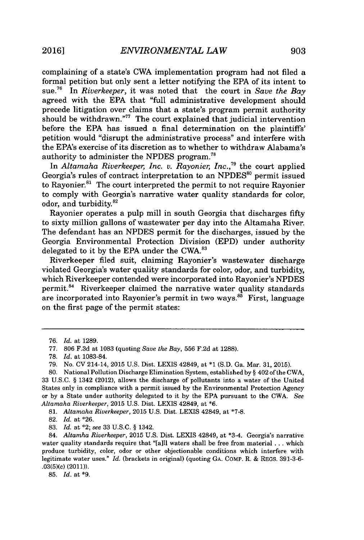complaining of a state's CWA implementation program had not filed a formal petition but only sent a letter notifying the **EPA** of its intent to sue.1<sup>6</sup>*In Riverkeeper,* it was noted that the court in *Save the Bay* agreed with the **EPA** that "full administrative development should precede litigation over claims that a state's program permit authority should be withdrawn."<sup>77</sup> The court explained that judicial intervention before the **EPA** has issued a final determination on the plaintiffs' petition would "disrupt the administrative process" and interfere with the EPA's exercise of its discretion as to whether to withdraw Alabama's authority to administer the **NPDES** program."

In *Altamaha Riverkeeper, Inc. v. Rayonier, Inc.*,<sup>79</sup> the court applied Georgia's rules of contract interpretation to an NPDES<sup>80</sup> permit issued to Rayonier.<sup>81</sup> The court interpreted the permit to not require Rayonier to comply with Georgia's narrative water quality standards for color, odor, and turbidity.<sup>8</sup><sup>2</sup>

Rayonier operates a pulp mill in south Georgia that discharges fifty to sixty million gallons of wastewater per day into the Altamaha River. The defendant has an **NPDES** permit for the discharges, issued **by** the Georgia Environmental Protection Division **(EPD)** under authority delegated to it by the EPA under the CWA.<sup>83</sup>

Riverkeeper filed suit, claiming Rayonier's wastewater discharge violated Georgia's water quality standards for color, odor, and turbidity, which Riverkeeper contended were incorporated into Rayonier's **NPDES** permit.<sup>84</sup> Riverkeeper claimed the narrative water quality standards are incorporated into Rayonier's permit in two ways.<sup>85</sup> First, language on the first page of the permit states:

**82.** *Id.* at **\*26.**

**85.** *Id.* at **\*9.**

*<sup>76.</sup> Id. at* **1289.**

**<sup>77. 806</sup> F.3d** at **1083** (quoting *Save the Bay,* **556 F.2d** at **1288).**

**<sup>78.</sup>** *Id.* at **1083-84.**

**<sup>79.</sup>** No. **CV** 214-14, **2015 U.S.** Dist. LEXIS 42849, at **\*1 (S.D.** Ga. Mar. **31, 2015).**

**<sup>80.</sup>** National Pollution Discharge Elimination System, established **by §** 402 of the CWA, **33 U.S.C. §** 1342 (2012), allows the discharge of pollutants into a water of the United States only in compliance with a permit issued **by** the Environmental Protection Agency or **by** a State under authority delegated to it **by** the **EPA** pursuant to the CWA. *See Altamaha Riverkeeper,* **2015 U.S.** Dist. LEXIS 42849, at **\*6.**

**<sup>81.</sup>** *Altamaha Riverkeeper,* **2015 U.S.** Dist. LEXIS 42849, at **\*7-8.**

**<sup>83.</sup>** *Id.* at \*2; *see* **33 U.S.C. §** 1342.

<sup>84.</sup> *Altamha Riverkeeper,* 2015 **U.S.** Dist. LEXIS 42849, at \*3-4. Georgia's narrative water quality standards require that "[a]ll waters shall be free from material **.** . **.** which produce turbidity, color, odor or other objectionable conditions which interfere with legitimate water uses." *Id.* (brackets in original) (quoting **GA.** COMP. R. **& REGS. 391-3-6-** .03(5)(c) (2011)).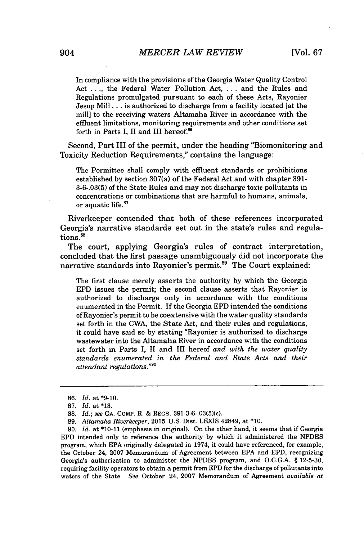In compliance with the provisions of the Georgia Water Quality Control Act **. . .,** the Federal Water Pollution Act, **. . .** and the Rules and Regulations promulgated pursuant to each of these Acts, Rayonier Jesup Mill .. **.** is authorized to discharge from a facility located [at the mill] to the receiving waters Altamaha River in accordance with the effluent limitations, monitoring requirements and other conditions set forth in Parts I, II and III hereof.<sup>86</sup>

Second, Part III of the permit, under the heading "Biomonitoring and Toxicity Reduction Requirements," contains the language:

The Permittee shall comply with effluent standards or prohibitions established **by** section 307(a) of the Federal Act and with chapter **391- 3-6-.03(5)** of the State Rules and may not discharge toxic pollutants in concentrations or combinations that are harmful to humans, animals, or aquatic life.<sup>87</sup>

Riverkeeper contended that both of these references incorporated Georgia's narrative standards set out in the state's rules and regulations.<sup>88</sup>

The court, applying Georgia's rules of contract interpretation, concluded that the first passage unambiguously did not incorporate the narrative standards into Rayonier's permit.<sup>89</sup> The Court explained:

The first clause merely asserts the authority **by** which the Georgia **EPD** issues the permit; the second clause asserts that Rayonier is authorized to discharge only in accordance with the conditions enumerated in the Permit. If the Georgia **EPD** intended the conditions of Rayonier's permit to be coextensive with the water quality standards set forth in the CWA, the State Act, and their rules and regulations, it could have said so **by** stating "Rayonier is authorized to discharge wastewater into the Altamaha River in accordance with the conditions set forth in Parts I, II and III hereof *and with the water quality standards enumerated in the Federal and State Acts and their attendant regulations.""O*

**<sup>86.</sup>** *Id.* at **\*9-10.**

**<sup>87.</sup>** *Id.* at **\*13.**

**<sup>88.</sup>** *Id.; see* **GA.** COMP. R. **&** REGS. 391-3-6-.03(5)(c).

**<sup>89.</sup>** *Altamaha Riverkeeper,* **2015 U.S.** Dist. **LEXIS** 42849, at **\*10.**

**<sup>90.</sup>** *Id.* at **\*10-11** (emphasis in original). On the other hand, it seems that if Georgia **EPD** intended only to reference the authority **by** which it administered the **NPDES** program, which **EPA** originally delegated in 1974, it could have referenced, for example, the October 24, **2007** Memorandum of Agreement between **EPA** and **EPD,** recognizing Georgia's authorization to administer the **NPDES** program, and **O.C.G.A. § 12-5-30,** requiring facility operators to obtain a permit from **EPD** for the discharge of pollutants into waters of the State. *See* October 24, **2007** Memorandum of Agreement *available at*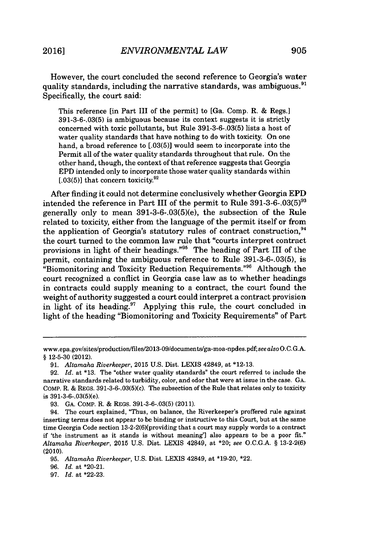However, the court concluded the second reference to Georgia's water quality standards, including the narrative standards, was ambiguous.<sup>91</sup> Specifically, the court said:

This reference [in Part III of the permit] to [Ga. Comp. R. **&** Regs.] **391-3-6-.03(5)** is ambiguous because its context suggests it is strictly concerned with toxic pollutants, but Rule **391-3-6-.03(5)** lists a host of water quality standards that have nothing to do with toxicity. On one hand, a broad reference to **[.03(5)]** would seem to incorporate into the Permit all of the water quality standards throughout that rule. On the other hand, though, the context of that reference suggests that Georgia **EPD** intended only to incorporate those water quality standards within  $[0.03(5)]$  that concern toxicity.<sup>92</sup>

After finding it could not determine conclusively whether Georgia **EPD** intended the reference in Part III of the permit to Rule **391-3-6-.03(5)93** generally only to mean 391-3-6-.03(5)(e), the subsection of the Rule related to toxicity, either from the language of the permit itself or from the application of Georgia's statutory rules of contract construction,  $94$ the court turned to the common law rule that "courts interpret contract provisions in light of their headings."<sup>95</sup> The heading of Part III of the permit, containing the ambiguous reference to Rule **391-3-6-.03(5),** is "Biomonitoring and Toxicity Reduction Requirements." $96$  Although the court recognized a conflict in Georgia case law as to whether headings in contracts could supply meaning to a contract, the court found the weight of authority suggested a court could interpret a contract provision in light of its heading.<sup>97</sup> Applying this rule, the court concluded in light of the heading "Biomonitoring and Toxicity Requirements" of Part

**93. GA.** COMP. R. **&** REGS. **391-3-6-.03(5)** (2011).

**96.** *Id.* at \*20-21.

www.epa.gov/sites/production/files/2013-09/documents/ga-moa-npdes.pdf; *seealsoO.C.G.A.* **§ 12-5-30** (2012).

**<sup>91.</sup>** *Altamaha Riverkeeper,* **2015 U.S.** Dist. LEXIS 42849, at **\*12-13.**

**<sup>92.</sup>** *Id.* at **\*13.** The "other water quality standards" the court referred to include the narrative standards related to turbidity, color, and odor that were at issue in the case. **GA.** COMP. R. **&** REGS. 391-3-6-.03(5)(c). The subsection of the Rule that relates only to toxicity is 391-3-6-.03(5)(e).

<sup>94.</sup> The court explained, "Thus, on balance, the Riverkeeper's proffered rule against inserting terms does not appear to be binding or instructive to this Court, but at the same time Georgia Code section 13-2-2(6)[providing that a court may supply words to a contract if 'the instrument as it stands is without meaning'] also appears to be a poor fit." *Altamaha Riverkeeper,* **2015 U.S.** Dist. **LEXIS** 42849, at \*20; *see O.C.G.A.* **§ 13-2-2(6)** (2010).

**<sup>95.</sup>** *Altamaha Riverkeeper,* **U.S.** Dist. LEXIS 42849, at **\*19-20,** \*22.

**<sup>97.</sup>** *Id.* at **\*22-23.**